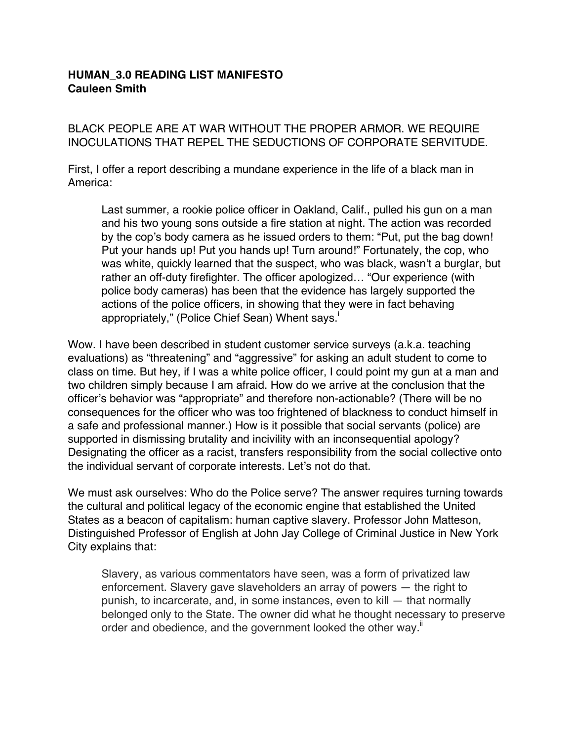## **HUMAN\_3.0 READING LIST MANIFESTO Cauleen Smith**

BLACK PEOPLE ARE AT WAR WITHOUT THE PROPER ARMOR. WE REQUIRE INOCULATIONS THAT REPEL THE SEDUCTIONS OF CORPORATE SERVITUDE.

First, I offer a report describing a mundane experience in the life of a black man in America:

Last summer, a rookie police officer in Oakland, Calif., pulled his gun on a man and his two young sons outside a fire station at night. The action was recorded by the cop's body camera as he issued orders to them: "Put, put the bag down! Put your hands up! Put you hands up! Turn around!" Fortunately, the cop, who was white, quickly learned that the suspect, who was black, wasn't a burglar, but rather an off-duty firefighter. The officer apologized… "Our experience (with police body cameras) has been that the evidence has largely supported the actions of the police officers, in showing that they were in fact behaving appropriately," (Police Chief Sean) Whent says.<sup>1</sup>

Wow. I have been described in student customer service surveys (a.k.a. teaching evaluations) as "threatening" and "aggressive" for asking an adult student to come to class on time. But hey, if I was a white police officer, I could point my gun at a man and two children simply because I am afraid. How do we arrive at the conclusion that the officer's behavior was "appropriate" and therefore non-actionable? (There will be no consequences for the officer who was too frightened of blackness to conduct himself in a safe and professional manner.) How is it possible that social servants (police) are supported in dismissing brutality and incivility with an inconsequential apology? Designating the officer as a racist, transfers responsibility from the social collective onto the individual servant of corporate interests. Let's not do that.

We must ask ourselves: Who do the Police serve? The answer requires turning towards the cultural and political legacy of the economic engine that established the United States as a beacon of capitalism: human captive slavery. Professor John Matteson, Distinguished Professor of English at John Jay College of Criminal Justice in New York City explains that:

Slavery, as various commentators have seen, was a form of privatized law enforcement. Slavery gave slaveholders an array of powers — the right to punish, to incarcerate, and, in some instances, even to kill — that normally belonged only to the State. The owner did what he thought necessary to preserve order and obedience, and the government looked the other way.<sup>"</sup>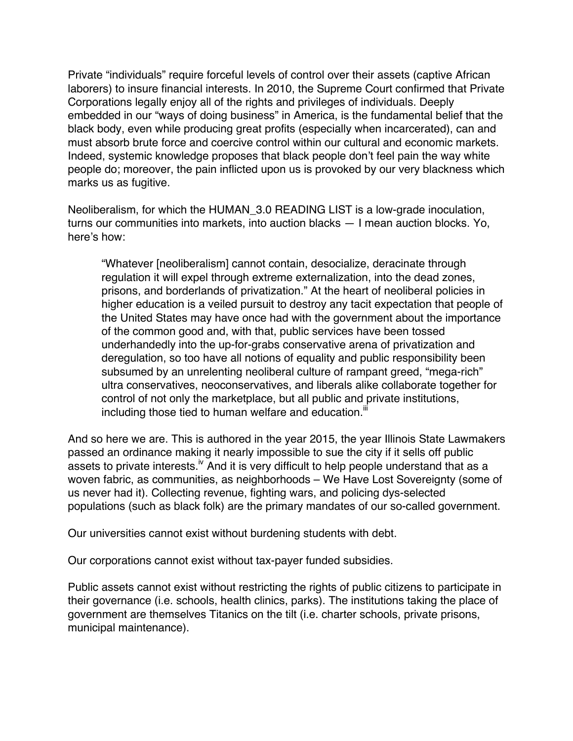Private "individuals" require forceful levels of control over their assets (captive African laborers) to insure financial interests. In 2010, the Supreme Court confirmed that Private Corporations legally enjoy all of the rights and privileges of individuals. Deeply embedded in our "ways of doing business" in America, is the fundamental belief that the black body, even while producing great profits (especially when incarcerated), can and must absorb brute force and coercive control within our cultural and economic markets. Indeed, systemic knowledge proposes that black people don't feel pain the way white people do; moreover, the pain inflicted upon us is provoked by our very blackness which marks us as fugitive.

Neoliberalism, for which the HUMAN\_3.0 READING LIST is a low-grade inoculation, turns our communities into markets, into auction blacks — I mean auction blocks. Yo, here's how:

"Whatever [neoliberalism] cannot contain, desocialize, deracinate through regulation it will expel through extreme externalization, into the dead zones, prisons, and borderlands of privatization." At the heart of neoliberal policies in higher education is a veiled pursuit to destroy any tacit expectation that people of the United States may have once had with the government about the importance of the common good and, with that, public services have been tossed underhandedly into the up-for-grabs conservative arena of privatization and deregulation, so too have all notions of equality and public responsibility been subsumed by an unrelenting neoliberal culture of rampant greed, "mega-rich" ultra conservatives, neoconservatives, and liberals alike collaborate together for control of not only the marketplace, but all public and private institutions, including those tied to human welfare and education.<sup>ii</sup>

And so here we are. This is authored in the year 2015, the year Illinois State Lawmakers passed an ordinance making it nearly impossible to sue the city if it sells off public assets to private interests.<sup>iv</sup> And it is very difficult to help people understand that as a woven fabric, as communities, as neighborhoods – We Have Lost Sovereignty (some of us never had it). Collecting revenue, fighting wars, and policing dys-selected populations (such as black folk) are the primary mandates of our so-called government.

Our universities cannot exist without burdening students with debt.

Our corporations cannot exist without tax-payer funded subsidies.

Public assets cannot exist without restricting the rights of public citizens to participate in their governance (i.e. schools, health clinics, parks). The institutions taking the place of government are themselves Titanics on the tilt (i.e. charter schools, private prisons, municipal maintenance).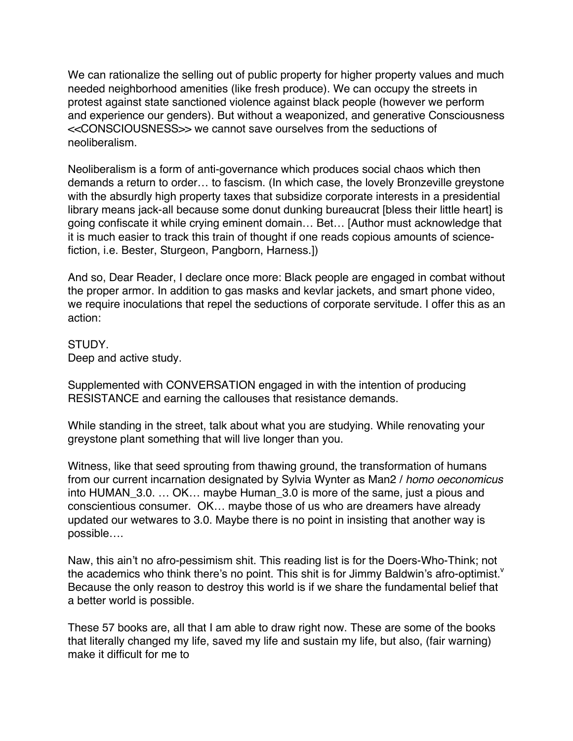We can rationalize the selling out of public property for higher property values and much needed neighborhood amenities (like fresh produce). We can occupy the streets in protest against state sanctioned violence against black people (however we perform and experience our genders). But without a weaponized, and generative Consciousness <<CONSCIOUSNESS>> we cannot save ourselves from the seductions of neoliberalism.

Neoliberalism is a form of anti-governance which produces social chaos which then demands a return to order… to fascism. (In which case, the lovely Bronzeville greystone with the absurdly high property taxes that subsidize corporate interests in a presidential library means jack-all because some donut dunking bureaucrat [bless their little heart] is going confiscate it while crying eminent domain… Bet… [Author must acknowledge that it is much easier to track this train of thought if one reads copious amounts of sciencefiction, i.e. Bester, Sturgeon, Pangborn, Harness.])

And so, Dear Reader, I declare once more: Black people are engaged in combat without the proper armor. In addition to gas masks and kevlar jackets, and smart phone video, we require inoculations that repel the seductions of corporate servitude. I offer this as an action:

## STUDY.

Deep and active study.

Supplemented with CONVERSATION engaged in with the intention of producing RESISTANCE and earning the callouses that resistance demands.

While standing in the street, talk about what you are studying. While renovating your greystone plant something that will live longer than you.

Witness, like that seed sprouting from thawing ground, the transformation of humans from our current incarnation designated by Sylvia Wynter as Man2 / *homo oeconomicus* into HUMAN\_3.0. … OK… maybe Human\_3.0 is more of the same, just a pious and conscientious consumer. OK… maybe those of us who are dreamers have already updated our wetwares to 3.0. Maybe there is no point in insisting that another way is possible….

Naw, this ain't no afro-pessimism shit. This reading list is for the Doers-Who-Think; not the academics who think there's no point. This shit is for Jimmy Baldwin's afro-optimist.<sup>v</sup> Because the only reason to destroy this world is if we share the fundamental belief that a better world is possible.

These 57 books are, all that I am able to draw right now. These are some of the books that literally changed my life, saved my life and sustain my life, but also, (fair warning) make it difficult for me to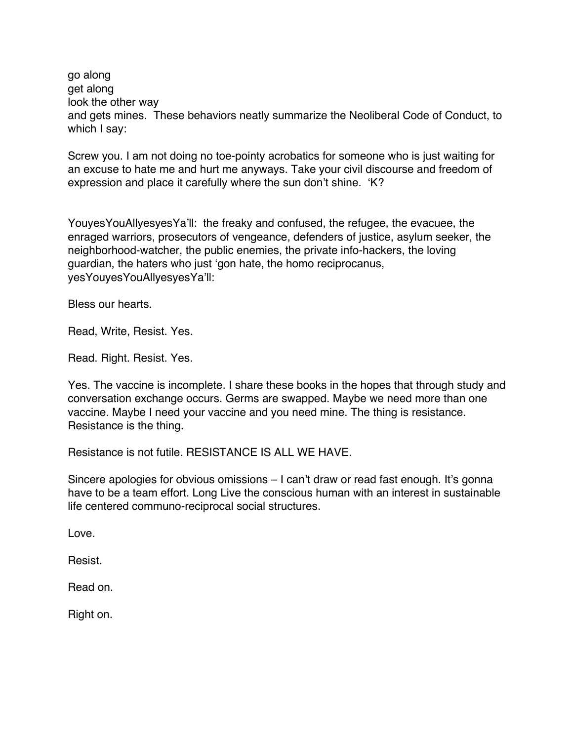go along get along look the other way and gets mines. These behaviors neatly summarize the Neoliberal Code of Conduct, to which I say:

Screw you. I am not doing no toe-pointy acrobatics for someone who is just waiting for an excuse to hate me and hurt me anyways. Take your civil discourse and freedom of expression and place it carefully where the sun don't shine. 'K?

YouyesYouAllyesyesYa'll: the freaky and confused, the refugee, the evacuee, the enraged warriors, prosecutors of vengeance, defenders of justice, asylum seeker, the neighborhood-watcher, the public enemies, the private info-hackers, the loving guardian, the haters who just 'gon hate, the homo reciprocanus, yesYouyesYouAllyesyesYa'll:

Bless our hearts.

Read, Write, Resist. Yes.

Read. Right. Resist. Yes.

Yes. The vaccine is incomplete. I share these books in the hopes that through study and conversation exchange occurs. Germs are swapped. Maybe we need more than one vaccine. Maybe I need your vaccine and you need mine. The thing is resistance. Resistance is the thing.

Resistance is not futile. RESISTANCE IS ALL WE HAVE.

Sincere apologies for obvious omissions – I can't draw or read fast enough. It's gonna have to be a team effort. Long Live the conscious human with an interest in sustainable life centered communo-reciprocal social structures.

Love.

Resist.

Read on.

Right on.